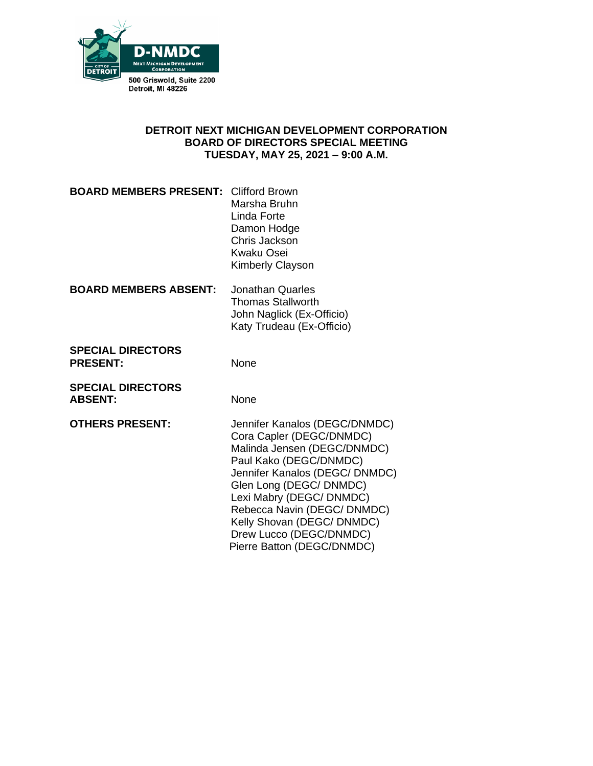

### **DETROIT NEXT MICHIGAN DEVELOPMENT CORPORATION BOARD OF DIRECTORS SPECIAL MEETING TUESDAY, MAY 25, 2021 – 9:00 A.M.**

| <b>BOARD MEMBERS PRESENT: Clifford Brown</b> |                         |
|----------------------------------------------|-------------------------|
|                                              |                         |
|                                              | Marsha Bruhn            |
|                                              | Linda Forte             |
|                                              | Damon Hodge             |
|                                              | Chris Jackson           |
|                                              | <b>Kwaku Osei</b>       |
|                                              | <b>Kimberly Clayson</b> |
|                                              |                         |

| <b>BOARD MEMBERS ABSENT:</b> | Jonathan Quarles          |
|------------------------------|---------------------------|
|                              | <b>Thomas Stallworth</b>  |
|                              | John Naglick (Ex-Officio) |
|                              | Katy Trudeau (Ex-Officio) |
|                              |                           |

**SPECIAL DIRECTORS** PRESENT: None

**SPECIAL DIRECTORS** ABSENT: None

**OTHERS PRESENT:** Jennifer Kanalos (DEGC/DNMDC) Cora Capler (DEGC/DNMDC) Malinda Jensen (DEGC/DNMDC) Paul Kako (DEGC/DNMDC) Jennifer Kanalos (DEGC/ DNMDC) Glen Long (DEGC/ DNMDC) Lexi Mabry (DEGC/ DNMDC) Rebecca Navin (DEGC/ DNMDC) Kelly Shovan (DEGC/ DNMDC) Drew Lucco (DEGC/DNMDC) Pierre Batton (DEGC/DNMDC)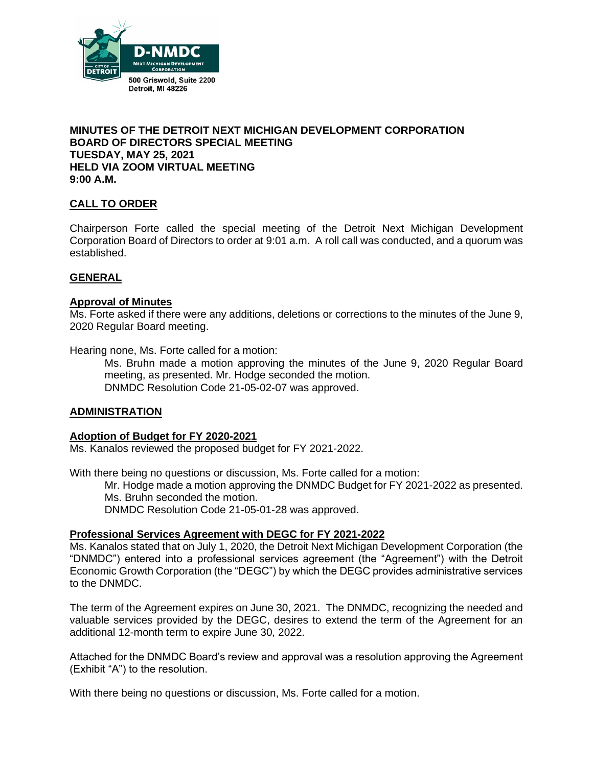

### **MINUTES OF THE DETROIT NEXT MICHIGAN DEVELOPMENT CORPORATION BOARD OF DIRECTORS SPECIAL MEETING TUESDAY, MAY 25, 2021 HELD VIA ZOOM VIRTUAL MEETING 9:00 A.M.**

### **CALL TO ORDER**

Chairperson Forte called the special meeting of the Detroit Next Michigan Development Corporation Board of Directors to order at 9:01 a.m. A roll call was conducted, and a quorum was established.

#### **GENERAL**

#### **Approval of Minutes**

Ms. Forte asked if there were any additions, deletions or corrections to the minutes of the June 9, 2020 Regular Board meeting.

Hearing none, Ms. Forte called for a motion:

Ms. Bruhn made a motion approving the minutes of the June 9, 2020 Regular Board meeting, as presented. Mr. Hodge seconded the motion. DNMDC Resolution Code 21-05-02-07 was approved.

#### **ADMINISTRATION**

#### **Adoption of Budget for FY 2020-2021**

Ms. Kanalos reviewed the proposed budget for FY 2021-2022.

With there being no questions or discussion, Ms. Forte called for a motion:

Mr. Hodge made a motion approving the DNMDC Budget for FY 2021-2022 as presented. Ms. Bruhn seconded the motion.

DNMDC Resolution Code 21-05-01-28 was approved.

#### **Professional Services Agreement with DEGC for FY 2021-2022**

Ms. Kanalos stated that on July 1, 2020, the Detroit Next Michigan Development Corporation (the "DNMDC") entered into a professional services agreement (the "Agreement") with the Detroit Economic Growth Corporation (the "DEGC") by which the DEGC provides administrative services to the DNMDC.

The term of the Agreement expires on June 30, 2021. The DNMDC, recognizing the needed and valuable services provided by the DEGC, desires to extend the term of the Agreement for an additional 12-month term to expire June 30, 2022.

Attached for the DNMDC Board's review and approval was a resolution approving the Agreement (Exhibit "A") to the resolution.

With there being no questions or discussion, Ms. Forte called for a motion.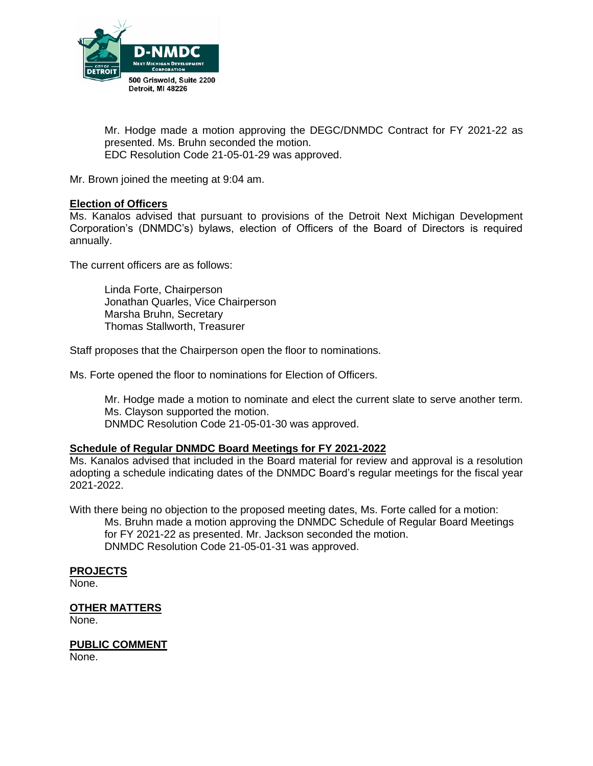

Mr. Hodge made a motion approving the DEGC/DNMDC Contract for FY 2021-22 as presented. Ms. Bruhn seconded the motion. EDC Resolution Code 21-05-01-29 was approved.

Mr. Brown joined the meeting at 9:04 am.

### **Election of Officers**

Ms. Kanalos advised that pursuant to provisions of the Detroit Next Michigan Development Corporation's (DNMDC's) bylaws, election of Officers of the Board of Directors is required annually.

The current officers are as follows:

Linda Forte, Chairperson Jonathan Quarles, Vice Chairperson Marsha Bruhn, Secretary Thomas Stallworth, Treasurer

Staff proposes that the Chairperson open the floor to nominations.

Ms. Forte opened the floor to nominations for Election of Officers.

Mr. Hodge made a motion to nominate and elect the current slate to serve another term. Ms. Clayson supported the motion. DNMDC Resolution Code 21-05-01-30 was approved.

### **Schedule of Regular DNMDC Board Meetings for FY 2021-2022**

Ms. Kanalos advised that included in the Board material for review and approval is a resolution adopting a schedule indicating dates of the DNMDC Board's regular meetings for the fiscal year 2021-2022.

With there being no objection to the proposed meeting dates, Ms. Forte called for a motion: Ms. Bruhn made a motion approving the DNMDC Schedule of Regular Board Meetings for FY 2021-22 as presented. Mr. Jackson seconded the motion. DNMDC Resolution Code 21-05-01-31 was approved.

#### **PROJECTS**

None.

#### **OTHER MATTERS**

None.

**PUBLIC COMMENT**

None.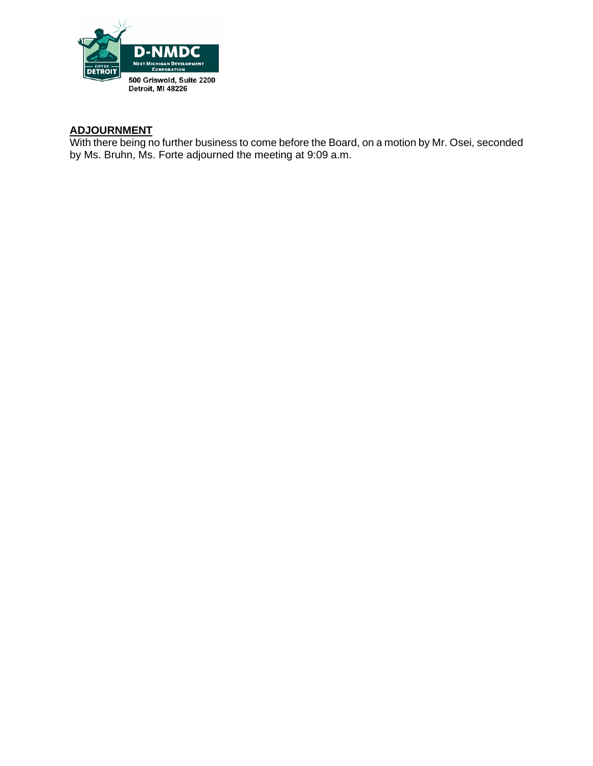

### **ADJOURNMENT**

With there being no further business to come before the Board, on a motion by Mr. Osei, seconded by Ms. Bruhn, Ms. Forte adjourned the meeting at 9:09 a.m.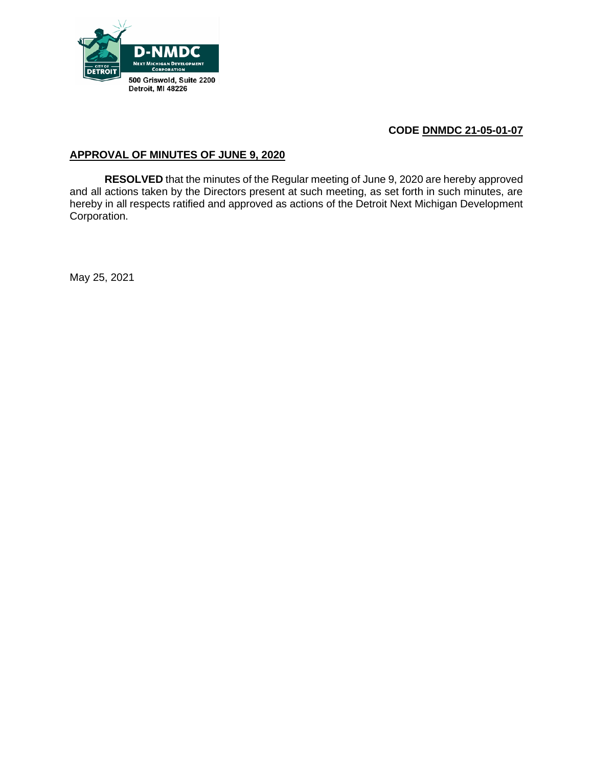

### **APPROVAL OF MINUTES OF JUNE 9, 2020**

**RESOLVED** that the minutes of the Regular meeting of June 9, 2020 are hereby approved and all actions taken by the Directors present at such meeting, as set forth in such minutes, are hereby in all respects ratified and approved as actions of the Detroit Next Michigan Development Corporation.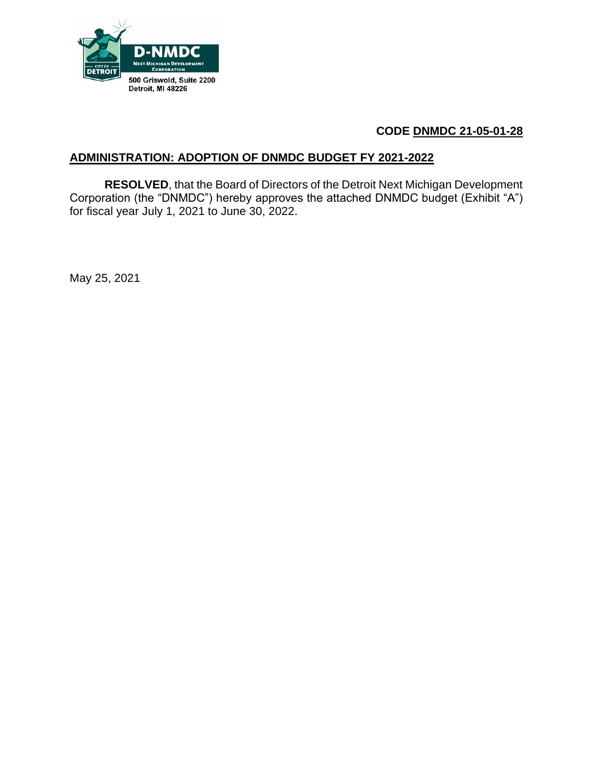

# **ADMINISTRATION: ADOPTION OF DNMDC BUDGET FY 2021-2022**

**RESOLVED**, that the Board of Directors of the Detroit Next Michigan Development Corporation (the "DNMDC") hereby approves the attached DNMDC budget (Exhibit "A") for fiscal year July 1, 2021 to June 30, 2022.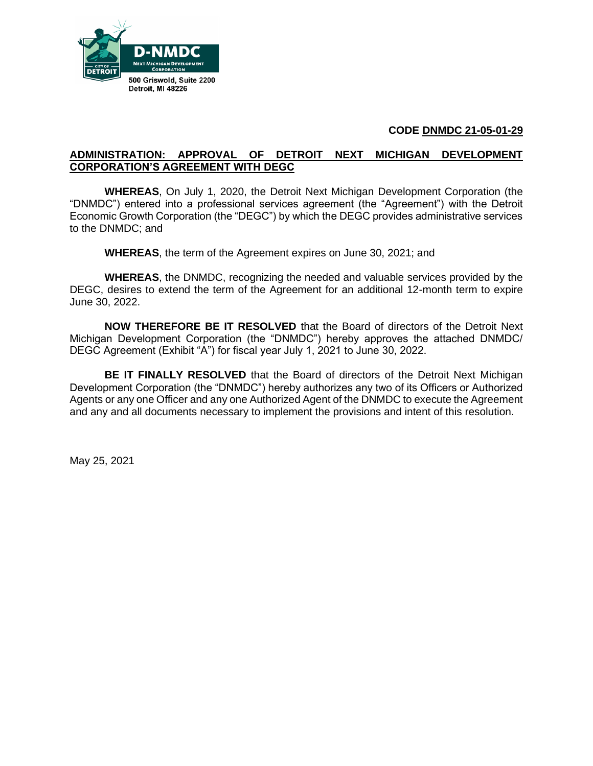

### **ADMINISTRATION: APPROVAL OF DETROIT NEXT MICHIGAN DEVELOPMENT CORPORATION'S AGREEMENT WITH DEGC**

**WHEREAS**, On July 1, 2020, the Detroit Next Michigan Development Corporation (the "DNMDC") entered into a professional services agreement (the "Agreement") with the Detroit Economic Growth Corporation (the "DEGC") by which the DEGC provides administrative services to the DNMDC; and

**WHEREAS**, the term of the Agreement expires on June 30, 2021; and

**WHEREAS**, the DNMDC, recognizing the needed and valuable services provided by the DEGC, desires to extend the term of the Agreement for an additional 12-month term to expire June 30, 2022.

**NOW THEREFORE BE IT RESOLVED** that the Board of directors of the Detroit Next Michigan Development Corporation (the "DNMDC") hereby approves the attached DNMDC/ DEGC Agreement (Exhibit "A") for fiscal year July 1, 2021 to June 30, 2022.

**BE IT FINALLY RESOLVED** that the Board of directors of the Detroit Next Michigan Development Corporation (the "DNMDC") hereby authorizes any two of its Officers or Authorized Agents or any one Officer and any one Authorized Agent of the DNMDC to execute the Agreement and any and all documents necessary to implement the provisions and intent of this resolution.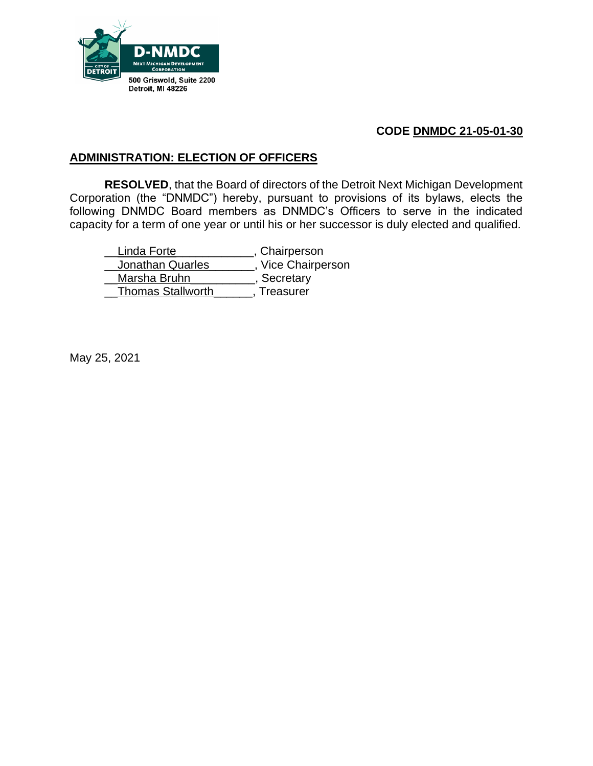

# **ADMINISTRATION: ELECTION OF OFFICERS**

**RESOLVED**, that the Board of directors of the Detroit Next Michigan Development Corporation (the "DNMDC") hereby, pursuant to provisions of its bylaws, elects the following DNMDC Board members as DNMDC's Officers to serve in the indicated capacity for a term of one year or until his or her successor is duly elected and qualified.

Linda Forte \_\_\_\_\_\_\_\_\_\_\_, Chairperson **Jonathan Quarles** \_\_\_\_\_\_, Vice Chairperson Marsha Bruhn<sub>\_\_\_\_\_\_\_\_\_\_\_\_</sub>, Secretary \_\_Thomas Stallworth\_\_\_\_\_\_, Treasurer